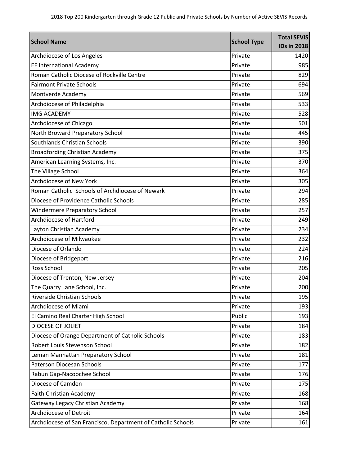| <b>School Name</b>                                           | <b>School Type</b> | <b>Total SEVIS</b><br><b>IDs in 2018</b> |
|--------------------------------------------------------------|--------------------|------------------------------------------|
| Archdiocese of Los Angeles                                   | Private            | 1420                                     |
| EF International Academy                                     | Private            | 985                                      |
| Roman Catholic Diocese of Rockville Centre                   | Private            | 829                                      |
| <b>Fairmont Private Schools</b>                              | Private            | 694                                      |
| Montverde Academy                                            | Private            | 569                                      |
| Archdiocese of Philadelphia                                  | Private            | 533                                      |
| <b>IMG ACADEMY</b>                                           | Private            | 528                                      |
| Archdiocese of Chicago                                       | Private            | 501                                      |
| North Broward Preparatory School                             | Private            | 445                                      |
| Southlands Christian Schools                                 | Private            | 390                                      |
| <b>Broadfording Christian Academy</b>                        | Private            | 375                                      |
| American Learning Systems, Inc.                              | Private            | 370                                      |
| The Village School                                           | Private            | 364                                      |
| Archdiocese of New York                                      | Private            | 305                                      |
| Roman Catholic Schools of Archdiocese of Newark              | Private            | 294                                      |
| Diocese of Providence Catholic Schools                       | Private            | 285                                      |
| <b>Windermere Preparatory School</b>                         | Private            | 257                                      |
| Archdiocese of Hartford                                      | Private            | 249                                      |
| Layton Christian Academy                                     | Private            | 234                                      |
| Archdiocese of Milwaukee                                     | Private            | 232                                      |
| Diocese of Orlando                                           | Private            | 224                                      |
| Diocese of Bridgeport                                        | Private            | 216                                      |
| Ross School                                                  | Private            | 205                                      |
| Diocese of Trenton, New Jersey                               | Private            | 204                                      |
| The Quarry Lane School, Inc.                                 | Private            | 200                                      |
| Riverside Christian Schools                                  | Private            | 195                                      |
| Archdiocese of Miami                                         | Private            | 193                                      |
| El Camino Real Charter High School                           | Public             | 193                                      |
| DIOCESE OF JOLIET                                            | Private            | 184                                      |
| Diocese of Orange Department of Catholic Schools             | Private            | 183                                      |
| Robert Louis Stevenson School                                | Private            | 182                                      |
| Leman Manhattan Preparatory School                           | Private            | 181                                      |
| <b>Paterson Diocesan Schools</b>                             | Private            | 177                                      |
| Rabun Gap-Nacoochee School                                   | Private            | 176                                      |
| Diocese of Camden                                            | Private            | 175                                      |
| Faith Christian Academy                                      | Private            | 168                                      |
| Gateway Legacy Christian Academy                             | Private            | 168                                      |
| Archdiocese of Detroit                                       | Private            | 164                                      |
| Archdiocese of San Francisco, Department of Catholic Schools | Private            | 161                                      |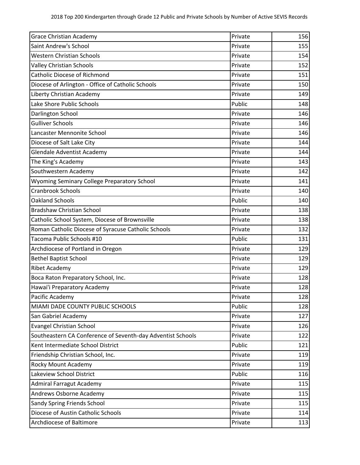| <b>Grace Christian Academy</b>                              | Private | 156 |
|-------------------------------------------------------------|---------|-----|
| Saint Andrew's School                                       | Private | 155 |
| <b>Western Christian Schools</b>                            | Private | 154 |
| <b>Valley Christian Schools</b>                             | Private | 152 |
| <b>Catholic Diocese of Richmond</b>                         | Private | 151 |
| Diocese of Arlington - Office of Catholic Schools           | Private | 150 |
| Liberty Christian Academy                                   | Private | 149 |
| Lake Shore Public Schools                                   | Public  | 148 |
| Darlington School                                           | Private | 146 |
| <b>Gulliver Schools</b>                                     | Private | 146 |
| Lancaster Mennonite School                                  | Private | 146 |
| Diocese of Salt Lake City                                   | Private | 144 |
| <b>Glendale Adventist Academy</b>                           | Private | 144 |
| The King's Academy                                          | Private | 143 |
| Southwestern Academy                                        | Private | 142 |
| <b>Wyoming Seminary College Preparatory School</b>          | Private | 141 |
| <b>Cranbrook Schools</b>                                    | Private | 140 |
| <b>Oakland Schools</b>                                      | Public  | 140 |
| <b>Bradshaw Christian School</b>                            | Private | 138 |
| Catholic School System, Diocese of Brownsville              | Private | 138 |
| Roman Catholic Diocese of Syracuse Catholic Schools         | Private | 132 |
| Tacoma Public Schools #10                                   | Public  | 131 |
| Archdiocese of Portland in Oregon                           | Private | 129 |
| <b>Bethel Baptist School</b>                                | Private | 129 |
| <b>Ribet Academy</b>                                        | Private | 129 |
| Boca Raton Preparatory School, Inc.                         | Private | 128 |
| Hawai'i Preparatory Academy                                 | Private | 128 |
| Pacific Academy                                             | Private | 128 |
| MIAMI DADE COUNTY PUBLIC SCHOOLS                            | Public  | 128 |
| San Gabriel Academy                                         | Private | 127 |
| <b>Evangel Christian School</b>                             | Private | 126 |
| Southeastern CA Conference of Seventh-day Adventist Schools | Private | 122 |
| Kent Intermediate School District                           | Public  | 121 |
| Friendship Christian School, Inc.                           | Private | 119 |
| Rocky Mount Academy                                         | Private | 119 |
| Lakeview School District                                    | Public  | 116 |
| <b>Admiral Farragut Academy</b>                             | Private | 115 |
| Andrews Osborne Academy                                     | Private | 115 |
| Sandy Spring Friends School                                 | Private | 115 |
| Diocese of Austin Catholic Schools                          | Private | 114 |
| Archdiocese of Baltimore                                    | Private | 113 |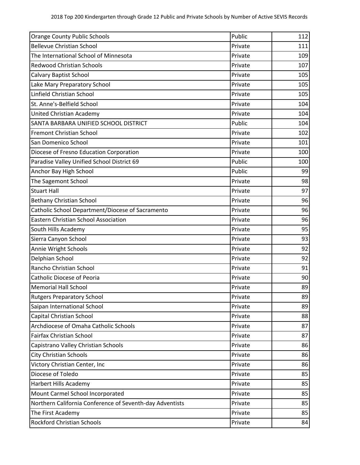| <b>Orange County Public Schools</b>                      | Public  | 112 |
|----------------------------------------------------------|---------|-----|
| <b>Bellevue Christian School</b>                         | Private | 111 |
| The International School of Minnesota                    | Private | 109 |
| <b>Redwood Christian Schools</b>                         | Private | 107 |
| Calvary Baptist School                                   | Private | 105 |
| Lake Mary Preparatory School                             | Private | 105 |
| Linfield Christian School                                | Private | 105 |
| St. Anne's-Belfield School                               | Private | 104 |
| United Christian Academy                                 | Private | 104 |
| SANTA BARBARA UNIFIED SCHOOL DISTRICT                    | Public  | 104 |
| Fremont Christian School                                 | Private | 102 |
| San Domenico School                                      | Private | 101 |
| Diocese of Fresno Education Corporation                  | Private | 100 |
| Paradise Valley Unified School District 69               | Public  | 100 |
| Anchor Bay High School                                   | Public  | 99  |
| The Sagemont School                                      | Private | 98  |
| <b>Stuart Hall</b>                                       | Private | 97  |
| <b>Bethany Christian School</b>                          | Private | 96  |
| Catholic School Department/Diocese of Sacramento         | Private | 96  |
| <b>Eastern Christian School Association</b>              | Private | 96  |
| South Hills Academy                                      | Private | 95  |
| Sierra Canyon School                                     | Private | 93  |
| Annie Wright Schools                                     | Private | 92  |
| Delphian School                                          | Private | 92  |
| Rancho Christian School                                  | Private | 91  |
| Catholic Diocese of Peoria                               | Private | 90  |
| <b>Memorial Hall School</b>                              | Private | 89  |
| <b>Rutgers Preparatory School</b>                        | Private | 89  |
| Saipan International School                              | Private | 89  |
| Capital Christian School                                 | Private | 88  |
| Archdiocese of Omaha Catholic Schools                    | Private | 87  |
| <b>Fairfax Christian School</b>                          | Private | 87  |
| Capistrano Valley Christian Schools                      | Private | 86  |
| <b>City Christian Schools</b>                            | Private | 86  |
| Victory Christian Center, Inc                            | Private | 86  |
| Diocese of Toledo                                        | Private | 85  |
| <b>Harbert Hills Academy</b>                             | Private | 85  |
| Mount Carmel School Incorporated                         | Private | 85  |
| Northern California Conference of Seventh-day Adventists | Private | 85  |
| The First Academy                                        | Private | 85  |
| <b>Rockford Christian Schools</b>                        | Private | 84  |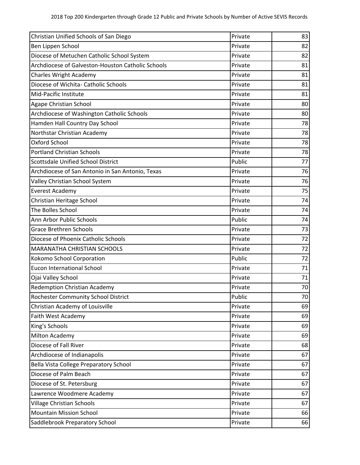| Christian Unified Schools of San Diego            | Private | 83 |
|---------------------------------------------------|---------|----|
| Ben Lippen School                                 | Private | 82 |
| Diocese of Metuchen Catholic School System        | Private | 82 |
| Archdiocese of Galveston-Houston Catholic Schools | Private | 81 |
| <b>Charles Wright Academy</b>                     | Private | 81 |
| Diocese of Wichita- Catholic Schools              | Private | 81 |
| Mid-Pacific Institute                             | Private | 81 |
| <b>Agape Christian School</b>                     | Private | 80 |
| Archdiocese of Washington Catholic Schools        | Private | 80 |
| Hamden Hall Country Day School                    | Private | 78 |
| Northstar Christian Academy                       | Private | 78 |
| Oxford School                                     | Private | 78 |
| <b>Portland Christian Schools</b>                 | Private | 78 |
| <b>Scottsdale Unified School District</b>         | Public  | 77 |
| Archdiocese of San Antonio in San Antonio, Texas  | Private | 76 |
| Valley Christian School System                    | Private | 76 |
| <b>Everest Academy</b>                            | Private | 75 |
| Christian Heritage School                         | Private | 74 |
| The Bolles School                                 | Private | 74 |
| Ann Arbor Public Schools                          | Public  | 74 |
| <b>Grace Brethren Schools</b>                     | Private | 73 |
| Diocese of Phoenix Catholic Schools               | Private | 72 |
| <b>MARANATHA CHRISTIAN SCHOOLS</b>                | Private | 72 |
| Kokomo School Corporation                         | Public  | 72 |
| <b>Eucon International School</b>                 | Private | 71 |
| Ojai Valley School                                | Private | 71 |
| <b>Redemption Christian Academy</b>               | Private | 70 |
| Rochester Community School District               | Public  | 70 |
| Christian Academy of Louisville                   | Private | 69 |
| Faith West Academy                                | Private | 69 |
| King's Schools                                    | Private | 69 |
| Milton Academy                                    | Private | 69 |
| Diocese of Fall River                             | Private | 68 |
| Archdiocese of Indianapolis                       | Private | 67 |
| Bella Vista College Preparatory School            | Private | 67 |
| Diocese of Palm Beach                             | Private | 67 |
| Diocese of St. Petersburg                         | Private | 67 |
| Lawrence Woodmere Academy                         | Private | 67 |
| <b>Village Christian Schools</b>                  | Private | 67 |
| <b>Mountain Mission School</b>                    | Private | 66 |
| Saddlebrook Preparatory School                    | Private | 66 |